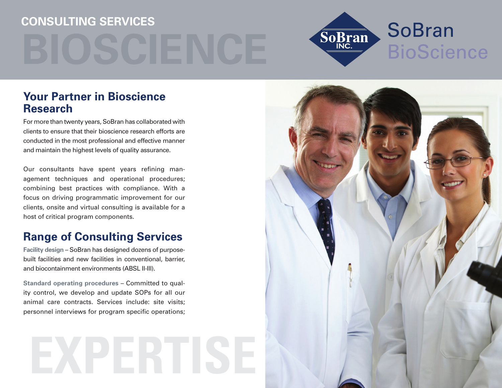# **Consulting Services**



### **Your Partner in Bioscience research**

For more than twenty years, SoBran has collaborated with clients to ensure that their bioscience research efforts are conducted in the most professional and effective manner and maintain the highest levels of quality assurance.

Our consultants have spent years refining management techniques and operational procedures; combining best practices with compliance. With a focus on driving programmatic improvement for our clients, onsite and virtual consulting is available for a host of critical program components.

### **Range of Consulting Services**

**Facility design** – SoBran has designed dozens of purposebuilt facilities and new facilities in conventional, barrier, and biocontainment environments (ABSL II-III).

**standard operating procedures** – Committed to quality control, we develop and update SOPs for all our animal care contracts. Services include: site visits; personnel interviews for program specific operations;

## **EXPERTISE**